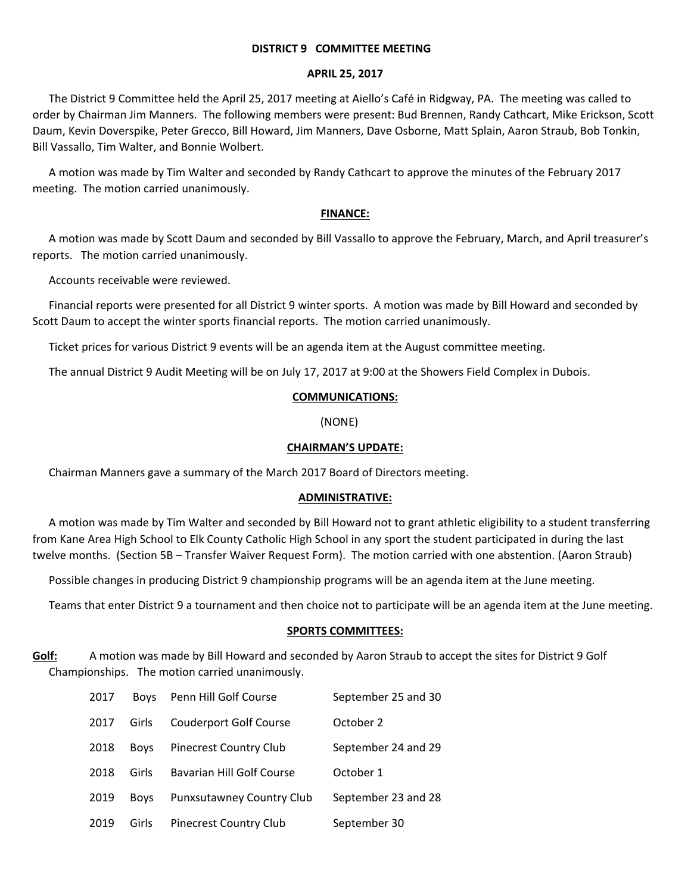### **DISTRICT 9 COMMITTEE MEETING**

### **APRIL 25, 2017**

The District 9 Committee held the April 25, 2017 meeting at Aiello's Café in Ridgway, PA. The meeting was called to order by Chairman Jim Manners. The following members were present: Bud Brennen, Randy Cathcart, Mike Erickson, Scott Daum, Kevin Doverspike, Peter Grecco, Bill Howard, Jim Manners, Dave Osborne, Matt Splain, Aaron Straub, Bob Tonkin, Bill Vassallo, Tim Walter, and Bonnie Wolbert.

A motion was made by Tim Walter and seconded by Randy Cathcart to approve the minutes of the February 2017 meeting. The motion carried unanimously.

# **FINANCE:**

A motion was made by Scott Daum and seconded by Bill Vassallo to approve the February, March, and April treasurer's reports. The motion carried unanimously.

Accounts receivable were reviewed.

Financial reports were presented for all District 9 winter sports. A motion was made by Bill Howard and seconded by Scott Daum to accept the winter sports financial reports. The motion carried unanimously.

Ticket prices for various District 9 events will be an agenda item at the August committee meeting.

The annual District 9 Audit Meeting will be on July 17, 2017 at 9:00 at the Showers Field Complex in Dubois.

# **COMMUNICATIONS:**

(NONE)

## **CHAIRMAN'S UPDATE:**

Chairman Manners gave a summary of the March 2017 Board of Directors meeting.

### **ADMINISTRATIVE:**

A motion was made by Tim Walter and seconded by Bill Howard not to grant athletic eligibility to a student transferring from Kane Area High School to Elk County Catholic High School in any sport the student participated in during the last twelve months. (Section 5B – Transfer Waiver Request Form). The motion carried with one abstention. (Aaron Straub)

Possible changes in producing District 9 championship programs will be an agenda item at the June meeting.

Teams that enter District 9 a tournament and then choice not to participate will be an agenda item at the June meeting.

### **SPORTS COMMITTEES:**

**Golf:** A motion was made by Bill Howard and seconded by Aaron Straub to accept the sites for District 9 Golf Championships. The motion carried unanimously.

| 2017 | <b>Boys</b> | Penn Hill Golf Course            | September 25 and 30 |
|------|-------------|----------------------------------|---------------------|
| 2017 | Girls       | <b>Couderport Golf Course</b>    | October 2           |
| 2018 | <b>Boys</b> | <b>Pinecrest Country Club</b>    | September 24 and 29 |
| 2018 | Girls       | <b>Bavarian Hill Golf Course</b> | October 1           |
| 2019 | <b>Boys</b> | <b>Punxsutawney Country Club</b> | September 23 and 28 |
| 2019 | Girls       | <b>Pinecrest Country Club</b>    | September 30        |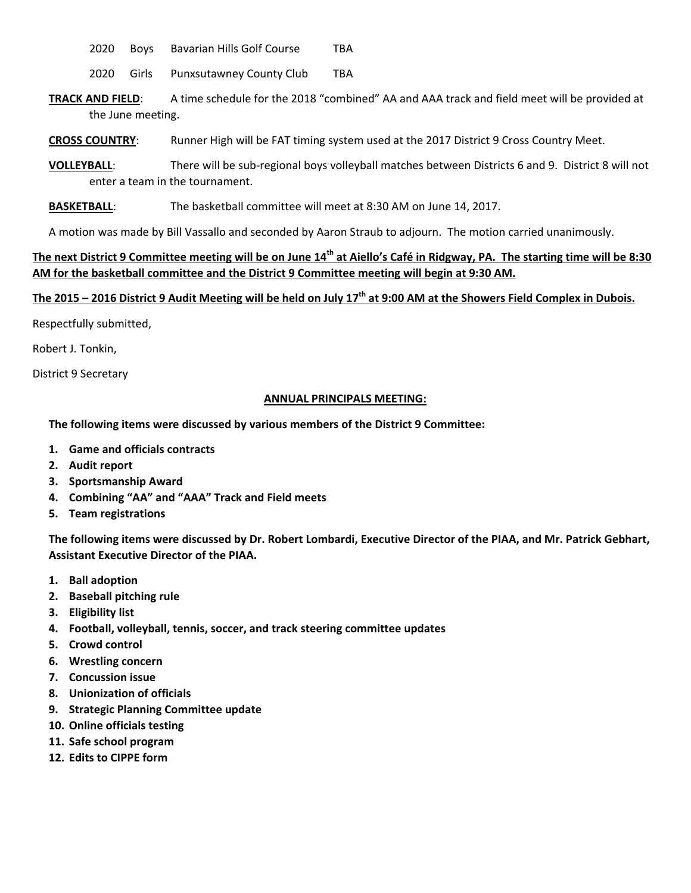2020 Boys Bavarian Hills Golf Course TBA

2020 Girls Punxsutawney County Club TBA

- **TRACK AND FIELD**: A time schedule for the 2018 "combined" AA and AAA track and field meet will be provided at the June meeting.
- **CROSS COUNTRY**: Runner High will be FAT timing system used at the 2017 District 9 Cross Country Meet.
- **VOLLEYBALL**: There will be sub‐regional boys volleyball matches between Districts 6 and 9. District 8 will not enter a team in the tournament.
- **BASKETBALL:** The basketball committee will meet at 8:30 AM on June 14, 2017.

A motion was made by Bill Vassallo and seconded by Aaron Straub to adjourn. The motion carried unanimously.

# The next District 9 Committee meeting will be on June 14<sup>th</sup> at Aiello's Café in Ridgway, PA. The starting time will be 8:30 **AM for the basketball committee and the District 9 Committee meeting will begin at 9:30 AM.**

# The 2015 – 2016 District 9 Audit Meeting will be held on July  $17<sup>th</sup>$  at 9:00 AM at the Showers Field Complex in Dubois.

Respectfully submitted,

Robert J. Tonkin,

District 9 Secretary

### **ANNUAL PRINCIPALS MEETING:**

### **The following items were discussed by various members of the District 9 Committee:**

- **1. Game and officials contracts**
- **2. Audit report**
- **3. Sportsmanship Award**
- **4. Combining "AA" and "AAA" Track and Field meets**
- **5. Team registrations**

The following items were discussed by Dr. Robert Lombardi, Executive Director of the PIAA, and Mr. Patrick Gebhart, **Assistant Executive Director of the PIAA.**

- **1. Ball adoption**
- **2. Baseball pitching rule**
- **3. Eligibility list**
- **4. Football, volleyball, tennis, soccer, and track steering committee updates**
- **5. Crowd control**
- **6. Wrestling concern**
- **7. Concussion issue**
- **8. Unionization of officials**
- **9. Strategic Planning Committee update**
- **10. Online officials testing**
- **11. Safe school program**
- **12. Edits to CIPPE form**